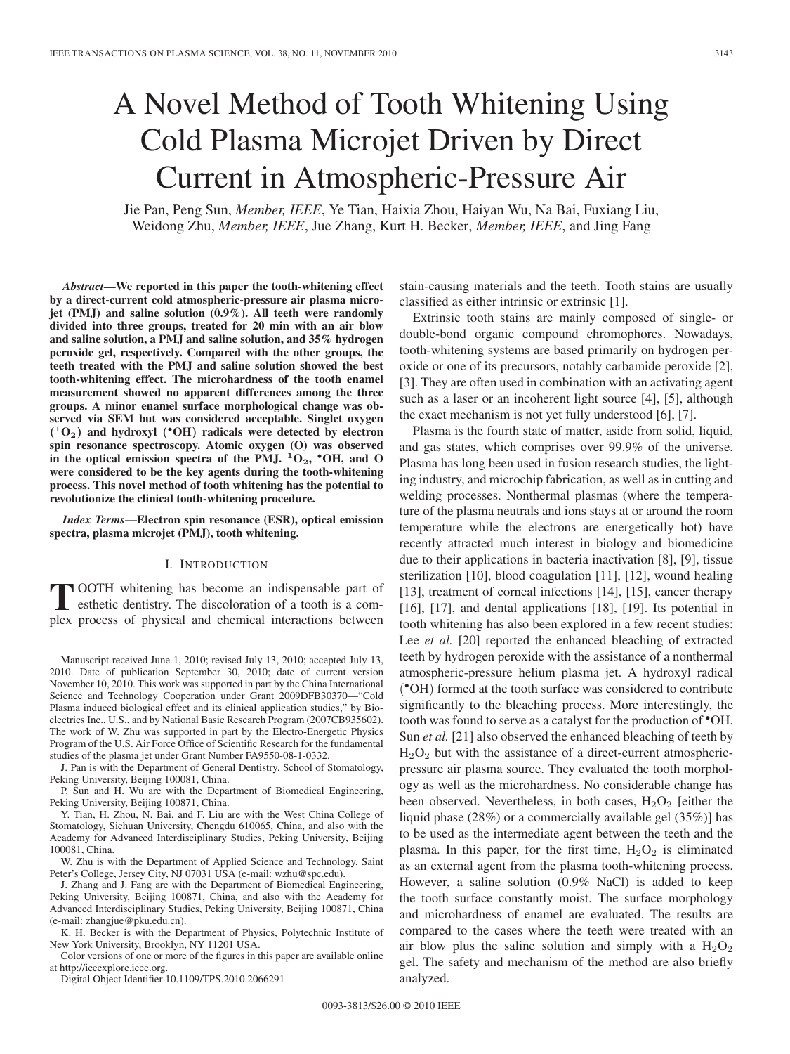# A Novel Method of Tooth Whitening Using Cold Plasma Microjet Driven by Direct Current in Atmospheric-Pressure Air

Jie Pan, Peng Sun, *Member, IEEE*, Ye Tian, Haixia Zhou, Haiyan Wu, Na Bai, Fuxiang Liu, Weidong Zhu, *Member, IEEE*, Jue Zhang, Kurt H. Becker, *Member, IEEE*, and Jing Fang

*Abstract***—We reported in this paper the tooth-whitening effect by a direct-current cold atmospheric-pressure air plasma microjet (PMJ) and saline solution (0.9%). All teeth were randomly divided into three groups, treated for 20 min with an air blow and saline solution, a PMJ and saline solution, and 35% hydrogen peroxide gel, respectively. Compared with the other groups, the teeth treated with the PMJ and saline solution showed the best tooth-whitening effect. The microhardness of the tooth enamel measurement showed no apparent differences among the three groups. A minor enamel surface morphological change was observed via SEM but was considered acceptable. Singlet oxygen (<sup>1</sup>O2) and hydroxyl (***•***OH) radicals were detected by electron spin resonance spectroscopy. Atomic oxygen (O) was observed in the optical emission spectra of the PMJ. <sup>1</sup>O2,** *•***OH, and O were considered to be the key agents during the tooth-whitening process. This novel method of tooth whitening has the potential to revolutionize the clinical tooth-whitening procedure.**

*Index Terms***—Electron spin resonance (ESR), optical emission spectra, plasma microjet (PMJ), tooth whitening.**

#### I. INTRODUCTION

**T** OOTH whitening has become an indispensable part of esthetic dentistry. The discoloration of a tooth is a complex process of physical and chemical interactions between

Manuscript received June 1, 2010; revised July 13, 2010; accepted July 13, 2010. Date of publication September 30, 2010; date of current version November 10, 2010. This work was supported in part by the China International Science and Technology Cooperation under Grant 2009DFB30370—"Cold Plasma induced biological effect and its clinical application studies," by Bioelectrics Inc., U.S., and by National Basic Research Program (2007CB935602). The work of W. Zhu was supported in part by the Electro-Energetic Physics Program of the U.S. Air Force Office of Scientific Research for the fundamental studies of the plasma jet under Grant Number FA9550-08-1-0332.

J. Pan is with the Department of General Dentistry, School of Stomatology, Peking University, Beijing 100081, China.

P. Sun and H. Wu are with the Department of Biomedical Engineering, Peking University, Beijing 100871, China.

Y. Tian, H. Zhou, N. Bai, and F. Liu are with the West China College of Stomatology, Sichuan University, Chengdu 610065, China, and also with the Academy for Advanced Interdisciplinary Studies, Peking University, Beijing 100081, China.

W. Zhu is with the Department of Applied Science and Technology, Saint Peter's College, Jersey City, NJ 07031 USA (e-mail: wzhu@spc.edu).

J. Zhang and J. Fang are with the Department of Biomedical Engineering, Peking University, Beijing 100871, China, and also with the Academy for Advanced Interdisciplinary Studies, Peking University, Beijing 100871, China (e-mail: zhangjue@pku.edu.cn).

K. H. Becker is with the Department of Physics, Polytechnic Institute of New York University, Brooklyn, NY 11201 USA.

Color versions of one or more of the figures in this paper are available online at http://ieeexplore.ieee.org.

Digital Object Identifier 10.1109/TPS.2010.2066291

stain-causing materials and the teeth. Tooth stains are usually classified as either intrinsic or extrinsic [1].

Extrinsic tooth stains are mainly composed of single- or double-bond organic compound chromophores. Nowadays, tooth-whitening systems are based primarily on hydrogen peroxide or one of its precursors, notably carbamide peroxide [2], [3]. They are often used in combination with an activating agent such as a laser or an incoherent light source [4], [5], although the exact mechanism is not yet fully understood [6], [7].

Plasma is the fourth state of matter, aside from solid, liquid, and gas states, which comprises over 99.9% of the universe. Plasma has long been used in fusion research studies, the lighting industry, and microchip fabrication, as well as in cutting and welding processes. Nonthermal plasmas (where the temperature of the plasma neutrals and ions stays at or around the room temperature while the electrons are energetically hot) have recently attracted much interest in biology and biomedicine due to their applications in bacteria inactivation [8], [9], tissue sterilization [10], blood coagulation [11], [12], wound healing [13], treatment of corneal infections [14], [15], cancer therapy [16], [17], and dental applications [18], [19]. Its potential in tooth whitening has also been explored in a few recent studies: Lee *et al.* [20] reported the enhanced bleaching of extracted teeth by hydrogen peroxide with the assistance of a nonthermal atmospheric-pressure helium plasma jet. A hydroxyl radical (•OH) formed at the tooth surface was considered to contribute significantly to the bleaching process. More interestingly, the tooth was found to serve as a catalyst for the production of •OH. Sun *et al.* [21] also observed the enhanced bleaching of teeth by  $H<sub>2</sub>O<sub>2</sub>$  but with the assistance of a direct-current atmosphericpressure air plasma source. They evaluated the tooth morphology as well as the microhardness. No considerable change has been observed. Nevertheless, in both cases,  $H_2O_2$  [either the liquid phase (28%) or a commercially available gel (35%)] has to be used as the intermediate agent between the teeth and the plasma. In this paper, for the first time,  $H_2O_2$  is eliminated as an external agent from the plasma tooth-whitening process. However, a saline solution (0.9% NaCl) is added to keep the tooth surface constantly moist. The surface morphology and microhardness of enamel are evaluated. The results are compared to the cases where the teeth were treated with an air blow plus the saline solution and simply with a  $H_2O_2$ gel. The safety and mechanism of the method are also briefly analyzed.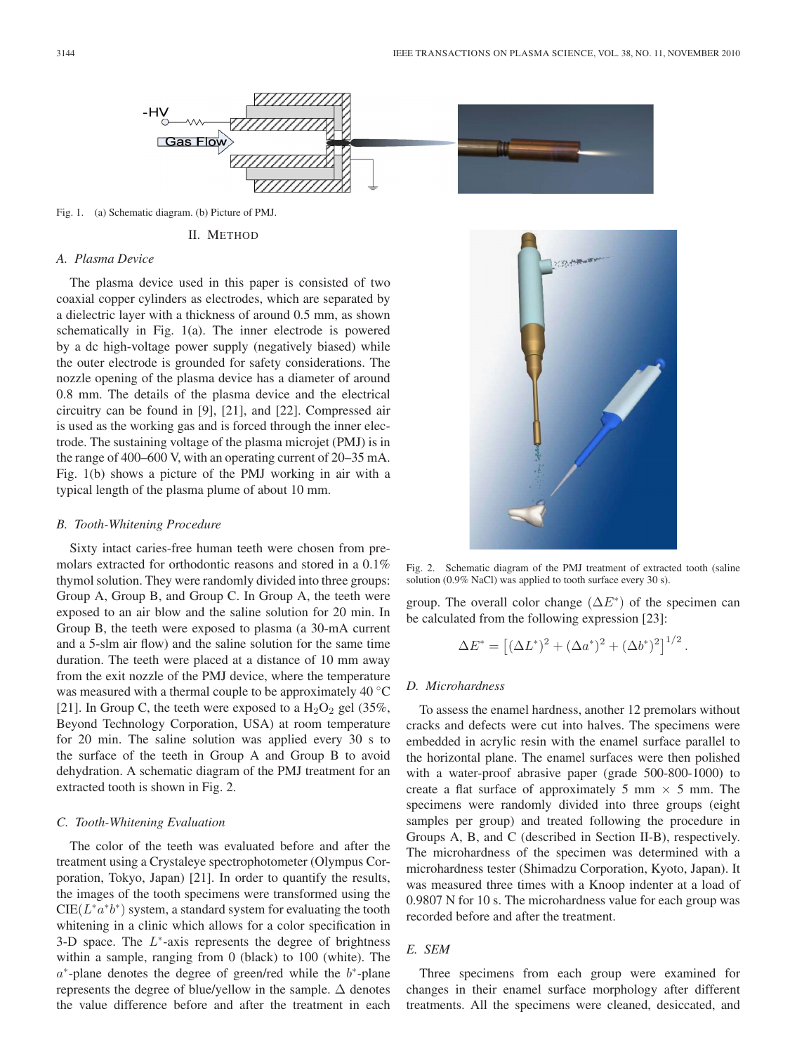

Fig. 1. (a) Schematic diagram. (b) Picture of PMJ.

#### II. METHOD

#### *A. Plasma Device*

The plasma device used in this paper is consisted of two coaxial copper cylinders as electrodes, which are separated by a dielectric layer with a thickness of around 0.5 mm, as shown schematically in Fig. 1(a). The inner electrode is powered by a dc high-voltage power supply (negatively biased) while the outer electrode is grounded for safety considerations. The nozzle opening of the plasma device has a diameter of around 0.8 mm. The details of the plasma device and the electrical circuitry can be found in [9], [21], and [22]. Compressed air is used as the working gas and is forced through the inner electrode. The sustaining voltage of the plasma microjet (PMJ) is in the range of 400–600 V, with an operating current of 20–35 mA. Fig. 1(b) shows a picture of the PMJ working in air with a typical length of the plasma plume of about 10 mm.

## *B. Tooth-Whitening Procedure*

Sixty intact caries-free human teeth were chosen from premolars extracted for orthodontic reasons and stored in a 0.1% thymol solution. They were randomly divided into three groups: Group A, Group B, and Group C. In Group A, the teeth were exposed to an air blow and the saline solution for 20 min. In Group B, the teeth were exposed to plasma (a 30-mA current and a 5-slm air flow) and the saline solution for the same time duration. The teeth were placed at a distance of 10 mm away from the exit nozzle of the PMJ device, where the temperature was measured with a thermal couple to be approximately 40 °C [21]. In Group C, the teeth were exposed to a  $H_2O_2$  gel (35%, Beyond Technology Corporation, USA) at room temperature for 20 min. The saline solution was applied every 30 s to the surface of the teeth in Group A and Group B to avoid dehydration. A schematic diagram of the PMJ treatment for an extracted tooth is shown in Fig. 2.

#### *C. Tooth-Whitening Evaluation*

The color of the teeth was evaluated before and after the treatment using a Crystaleye spectrophotometer (Olympus Corporation, Tokyo, Japan) [21]. In order to quantify the results, the images of the tooth specimens were transformed using the  $CIE(L^*a^*b^*)$  system, a standard system for evaluating the tooth whitening in a clinic which allows for a color specification in 3-D space. The  $L^*$ -axis represents the degree of brightness within a sample, ranging from 0 (black) to 100 (white). The a∗-plane denotes the degree of green/red while the b∗-plane represents the degree of blue/yellow in the sample.  $\Delta$  denotes the value difference before and after the treatment in each



Fig. 2. Schematic diagram of the PMJ treatment of extracted tooth (saline solution (0.9% NaCl) was applied to tooth surface every 30 s).

group. The overall color change  $(\Delta E^*)$  of the specimen can be calculated from the following expression [23]:

$$
\Delta E^* = [(\Delta L^*)^2 + (\Delta a^*)^2 + (\Delta b^*)^2]^{1/2}.
$$

#### *D. Microhardness*

To assess the enamel hardness, another 12 premolars without cracks and defects were cut into halves. The specimens were embedded in acrylic resin with the enamel surface parallel to the horizontal plane. The enamel surfaces were then polished with a water-proof abrasive paper (grade 500-800-1000) to create a flat surface of approximately 5 mm  $\times$  5 mm. The specimens were randomly divided into three groups (eight samples per group) and treated following the procedure in Groups A, B, and C (described in Section II-B), respectively. The microhardness of the specimen was determined with a microhardness tester (Shimadzu Corporation, Kyoto, Japan). It was measured three times with a Knoop indenter at a load of 0.9807 N for 10 s. The microhardness value for each group was recorded before and after the treatment.

# *E. SEM*

Three specimens from each group were examined for changes in their enamel surface morphology after different treatments. All the specimens were cleaned, desiccated, and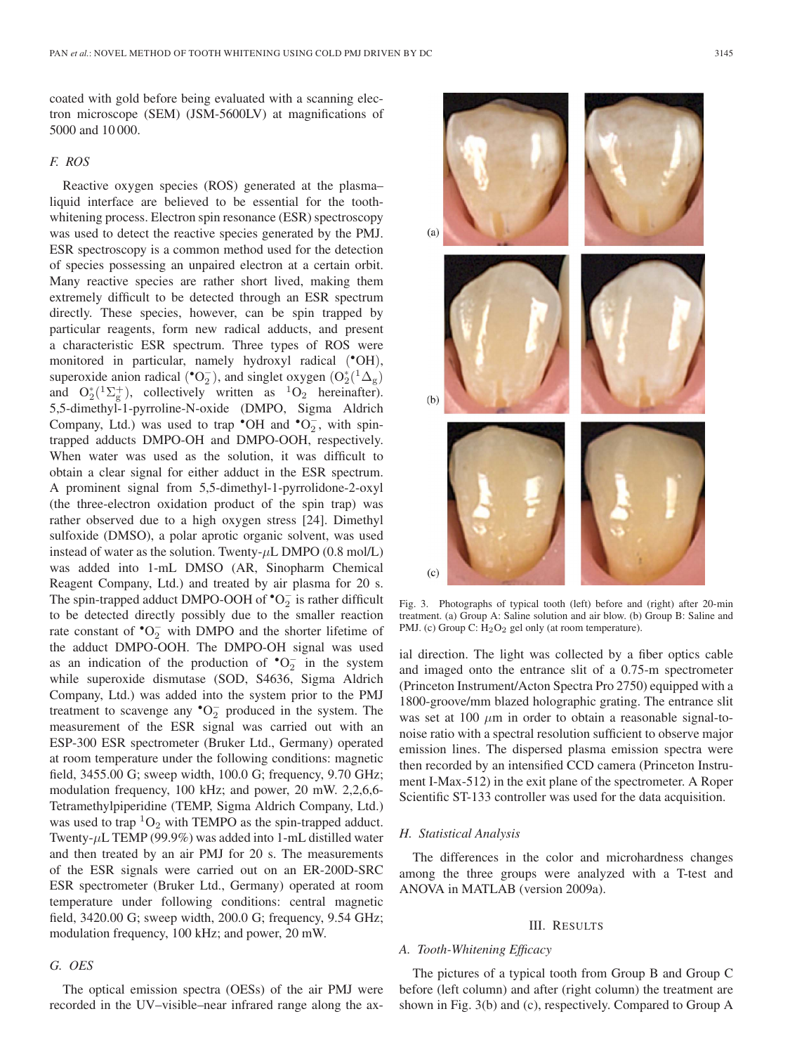coated with gold before being evaluated with a scanning electron microscope (SEM) (JSM-5600LV) at magnifications of 5000 and 10 000.

# *F. ROS*

Reactive oxygen species (ROS) generated at the plasma– liquid interface are believed to be essential for the toothwhitening process. Electron spin resonance (ESR) spectroscopy was used to detect the reactive species generated by the PMJ. ESR spectroscopy is a common method used for the detection of species possessing an unpaired electron at a certain orbit. Many reactive species are rather short lived, making them extremely difficult to be detected through an ESR spectrum directly. These species, however, can be spin trapped by particular reagents, form new radical adducts, and present a characteristic ESR spectrum. Three types of ROS were monitored in particular, namely hydroxyl radical (•OH), superoxide anion radical ( $^{\bullet}O_{2}^{-}$ ), and singlet oxygen  $(O_{2}^{*}({}^{1}\Delta_{g}))$ and  $O_2^*(1\Sigma_g^+)$ , collectively written as  ${}^{1}O_2$  hereinafter). 5,5-dimethyl-1-pyrroline-N-oxide (DMPO, Sigma Aldrich Company, Ltd.) was used to trap  $\bullet$ OH and  $\bullet$ O<sub>2</sub>, with spintrapped adducts DMPO-OH and DMPO-OOH, respectively. When water was used as the solution, it was difficult to obtain a clear signal for either adduct in the ESR spectrum. A prominent signal from 5,5-dimethyl-1-pyrrolidone-2-oxyl (the three-electron oxidation product of the spin trap) was rather observed due to a high oxygen stress [24]. Dimethyl sulfoxide (DMSO), a polar aprotic organic solvent, was used instead of water as the solution. Twenty- $\mu$ L DMPO (0.8 mol/L) was added into 1-mL DMSO (AR, Sinopharm Chemical Reagent Company, Ltd.) and treated by air plasma for 20 s. The spin-trapped adduct DMPO-OOH of  $\textbf{°O}_2^-$  is rather difficult to be detected directly possibly due to the smaller reaction rate constant of  $\mathrm{^{\bullet}O}_{2}^{-}$  with DMPO and the shorter lifetime of the adduct DMPO-OOH. The DMPO-OH signal was used as an indication of the production of  $\text{°O}_2^-$  in the system while superoxide dismutase (SOD, S4636, Sigma Aldrich Company, Ltd.) was added into the system prior to the PMJ treatment to scavenge any  $\text{°O}_2^-$  produced in the system. The measurement of the ESR signal was carried out with an ESP-300 ESR spectrometer (Bruker Ltd., Germany) operated at room temperature under the following conditions: magnetic field, 3455.00 G; sweep width, 100.0 G; frequency, 9.70 GHz; modulation frequency, 100 kHz; and power, 20 mW. 2,2,6,6- Tetramethylpiperidine (TEMP, Sigma Aldrich Company, Ltd.) was used to trap  ${}^{1}O_{2}$  with TEMPO as the spin-trapped adduct. Twenty-μL TEMP (99.9%) was added into 1-mL distilled water and then treated by an air PMJ for 20 s. The measurements of the ESR signals were carried out on an ER-200D-SRC ESR spectrometer (Bruker Ltd., Germany) operated at room temperature under following conditions: central magnetic field, 3420.00 G; sweep width, 200.0 G; frequency, 9.54 GHz; modulation frequency, 100 kHz; and power, 20 mW.

## *G. OES*

The optical emission spectra (OESs) of the air PMJ were recorded in the UV–visible–near infrared range along the ax-



Fig. 3. Photographs of typical tooth (left) before and (right) after 20-min treatment. (a) Group A: Saline solution and air blow. (b) Group B: Saline and PMJ. (c) Group C: H<sub>2</sub>O<sub>2</sub> gel only (at room temperature).

ial direction. The light was collected by a fiber optics cable and imaged onto the entrance slit of a 0.75-m spectrometer (Princeton Instrument/Acton Spectra Pro 2750) equipped with a 1800-groove/mm blazed holographic grating. The entrance slit was set at 100  $\mu$ m in order to obtain a reasonable signal-tonoise ratio with a spectral resolution sufficient to observe major emission lines. The dispersed plasma emission spectra were then recorded by an intensified CCD camera (Princeton Instrument I-Max-512) in the exit plane of the spectrometer. A Roper Scientific ST-133 controller was used for the data acquisition.

#### *H. Statistical Analysis*

The differences in the color and microhardness changes among the three groups were analyzed with a T-test and ANOVA in MATLAB (version 2009a).

#### III. RESULTS

## *A. Tooth-Whitening Efficacy*

The pictures of a typical tooth from Group B and Group C before (left column) and after (right column) the treatment are shown in Fig. 3(b) and (c), respectively. Compared to Group A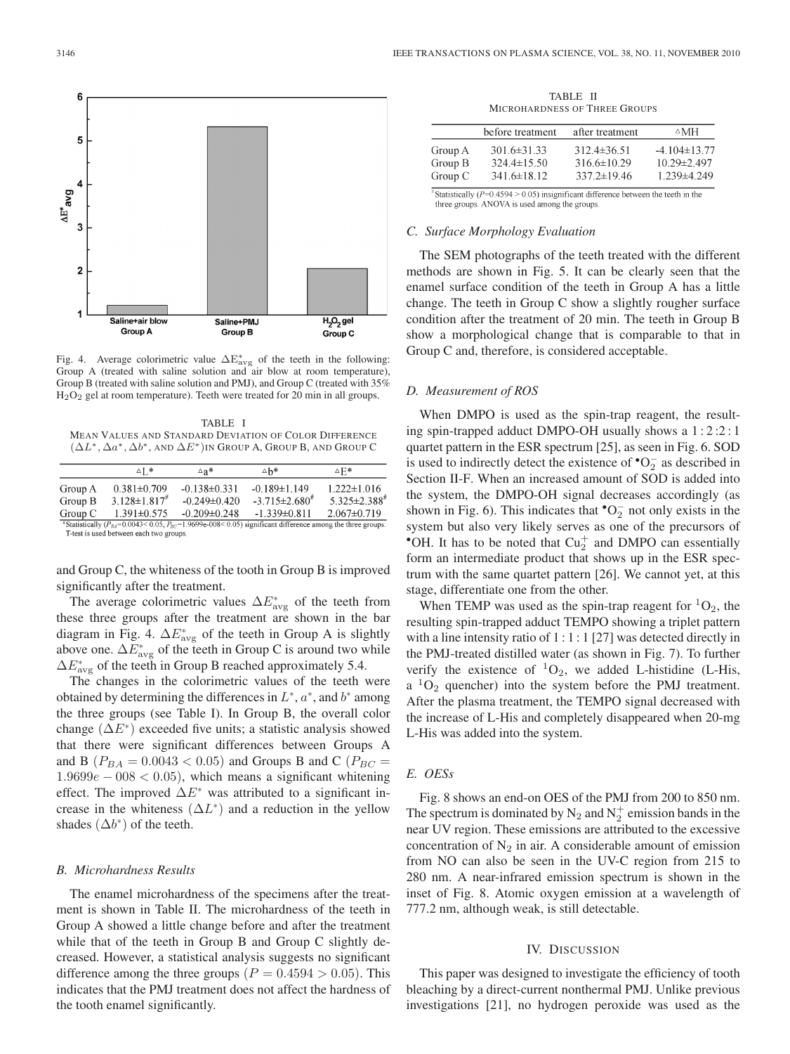

Fig. 4. Average colorimetric value  $\Delta E_{\text{avg}}^*$  of the teeth in the following: Group A (treated with saline solution and air blow at room temperature), Group B (treated with saline solution and PMJ), and Group C (treated with 35% H2O<sup>2</sup> gel at room temperature). Teeth were treated for 20 min in all groups.

TABLE I MEAN VALUES AND STANDARD DEVIATION OF COLOR DIFFERENCE  $(\Delta L^*, \Delta a^*, \Delta b^*,$  AND  $\Delta E^*)$ IN GROUP A, GROUP B, AND GROUP C

|         | $\Delta$ T $*$                          | ∆a*                | ∆h*                                                                                                           | ∆Fi*                           |
|---------|-----------------------------------------|--------------------|---------------------------------------------------------------------------------------------------------------|--------------------------------|
| Group A | $0.381 \pm 0.709$                       | $-0.138 \pm 0.331$ | $-0.189 \pm 1.149$                                                                                            | $1.222 \pm 1.016$              |
| Group B | $3.128 \pm 1.817$ <sup>#</sup>          | $-0.249\pm 0.420$  | $-3.715 \pm 2.680^{\text{*}}$                                                                                 | $5.325 \pm 2.388$ <sup>#</sup> |
| Group C | $1.391 \pm 0.575$                       | $-0.209 \pm 0.248$ | $-1.339\pm0.811$                                                                                              | $2.067 \pm 0.719$              |
|         |                                         |                    | "Statistically $(P_{BA}=0.0043<0.05, P_{BC}=1.9699e-008<0.05)$ significant difference among the three groups. |                                |
|         | T-test is used between each two groups. |                    |                                                                                                               |                                |

and Group C, the whiteness of the tooth in Group B is improved significantly after the treatment.

The average colorimetric values  $\Delta E^*_{\text{avg}}$  of the teeth from these three groups after the treatment are shown in the bar diagram in Fig. 4.  $\Delta E^*_{\text{avg}}$  of the teeth in Group A is slightly above one.  $\Delta E^*_{\text{avg}}$  of the teeth in Group C is around two while  $\Delta E^*_{\text{avg}}$  of the teeth in Group B reached approximately 5.4.

The changes in the colorimetric values of the teeth were obtained by determining the differences in  $L^*$ ,  $a^*$ , and  $b^*$  among the three groups (see Table I). In Group B, the overall color change  $(\Delta E^*)$  exceeded five units; a statistic analysis showed that there were significant differences between Groups A and B ( $P_{BA} = 0.0043 < 0.05$ ) and Groups B and C ( $P_{BC} =$  $1.9699e - 008 < 0.05$ , which means a significant whitening effect. The improved  $\Delta E^*$  was attributed to a significant increase in the whiteness  $(\Delta L^*)$  and a reduction in the yellow shades  $(\Delta b^*)$  of the teeth.

#### *B. Microhardness Results*

The enamel microhardness of the specimens after the treatment is shown in Table II. The microhardness of the teeth in Group A showed a little change before and after the treatment while that of the teeth in Group B and Group C slightly decreased. However, a statistical analysis suggests no significant difference among the three groups ( $P = 0.4594 > 0.05$ ). This indicates that the PMJ treatment does not affect the hardness of the tooth enamel significantly.

TABLE II MICROHARDNESS OF THREE GROUPS

| before treatment | after treatment                                         | $\triangle$ MH                                             |
|------------------|---------------------------------------------------------|------------------------------------------------------------|
|                  | $312.4\pm36.51$<br>$316.6 \pm 10.29$                    | $-4.104\pm13.77$<br>$10.29 \pm 2.497$<br>$1.239 \pm 4.249$ |
|                  | $3016\pm3133$<br>$324.4 \pm 15.50$<br>$341.6 \pm 18.12$ | $337.2 \pm 19.46$                                          |

"Statistically ( $P=0.4594 > 0.05$ ) insignificant difference between the teeth in the three groups. ANOVA is used among the groups.

#### *C. Surface Morphology Evaluation*

The SEM photographs of the teeth treated with the different methods are shown in Fig. 5. It can be clearly seen that the enamel surface condition of the teeth in Group A has a little change. The teeth in Group C show a slightly rougher surface condition after the treatment of 20 min. The teeth in Group B show a morphological change that is comparable to that in Group C and, therefore, is considered acceptable.

#### *D. Measurement of ROS*

When DMPO is used as the spin-trap reagent, the resulting spin-trapped adduct DMPO-OH usually shows a 1 : 2 :2 : 1 quartet pattern in the ESR spectrum [25], as seen in Fig. 6. SOD is used to indirectly detect the existence of  $^{\bullet}O_{2}^{-}$  as described in Section II-F. When an increased amount of SOD is added into the system, the DMPO-OH signal decreases accordingly (as shown in Fig. 6). This indicates that  $^{\bullet}O_{2}^{-}$  not only exists in the system but also very likely serves as one of the precursors of \*OH. It has to be noted that  $Cu<sub>2</sub><sup>+</sup>$  and DMPO can essentially form an intermediate product that shows up in the ESR spectrum with the same quartet pattern [26]. We cannot yet, at this stage, differentiate one from the other.

When TEMP was used as the spin-trap reagent for  ${}^{1}O_{2}$ , the resulting spin-trapped adduct TEMPO showing a triplet pattern with a line intensity ratio of 1 : 1 : 1 [27] was detected directly in the PMJ-treated distilled water (as shown in Fig. 7). To further verify the existence of  ${}^{1}O_{2}$ , we added L-histidine (L-His, a  ${}^{1}O_{2}$  quencher) into the system before the PMJ treatment. After the plasma treatment, the TEMPO signal decreased with the increase of L-His and completely disappeared when 20-mg L-His was added into the system.

# *E. OESs*

Fig. 8 shows an end-on OES of the PMJ from 200 to 850 nm. The spectrum is dominated by  $N_2$  and  $N_2^+$  emission bands in the near UV region. These emissions are attributed to the excessive concentration of  $N_2$  in air. A considerable amount of emission from NO can also be seen in the UV-C region from 215 to 280 nm. A near-infrared emission spectrum is shown in the inset of Fig. 8. Atomic oxygen emission at a wavelength of 777.2 nm, although weak, is still detectable.

#### IV. DISCUSSION

This paper was designed to investigate the efficiency of tooth bleaching by a direct-current nonthermal PMJ. Unlike previous investigations [21], no hydrogen peroxide was used as the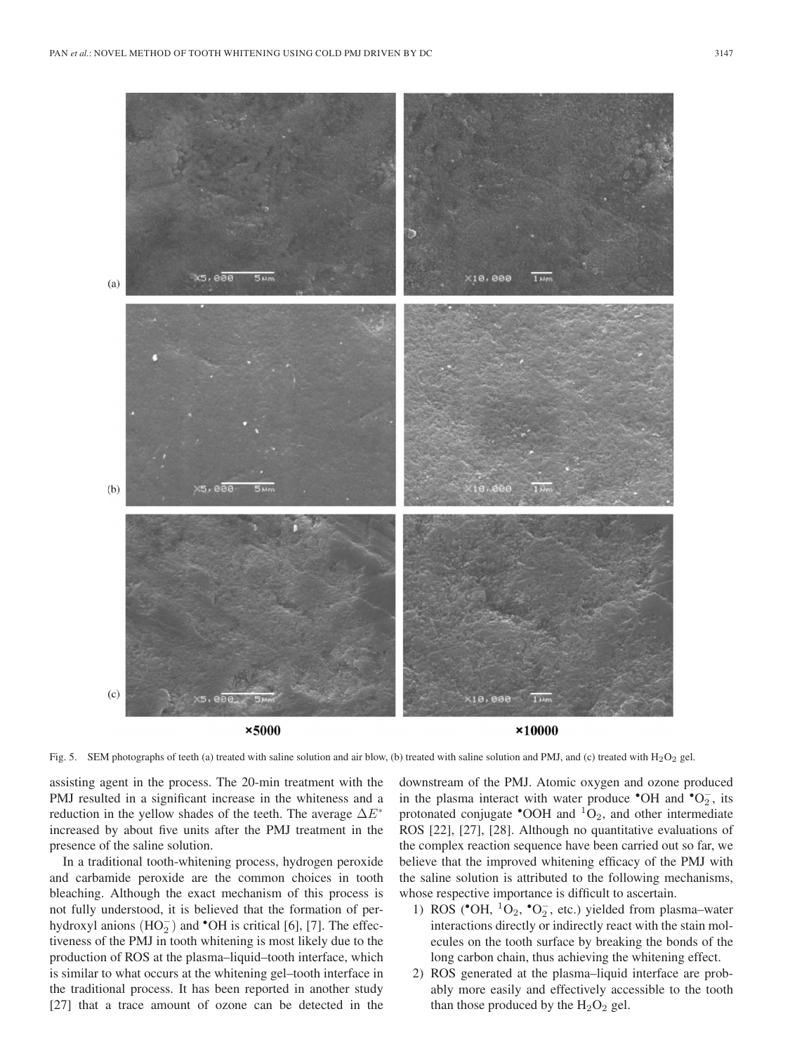

Fig. 5. SEM photographs of teeth (a) treated with saline solution and air blow, (b) treated with saline solution and PMJ, and (c) treated with H<sub>2</sub>O<sub>2</sub> gel.

assisting agent in the process. The 20-min treatment with the PMJ resulted in a significant increase in the whiteness and a reduction in the yellow shades of the teeth. The average  $\Delta E^*$ increased by about five units after the PMJ treatment in the presence of the saline solution.

In a traditional tooth-whitening process, hydrogen peroxide and carbamide peroxide are the common choices in tooth bleaching. Although the exact mechanism of this process is not fully understood, it is believed that the formation of perhydroxyl anions  $(HO_2^-)$  and <sup>•</sup>OH is critical [6], [7]. The effectiveness of the PMJ in tooth whitening is most likely due to the production of ROS at the plasma–liquid–tooth interface, which is similar to what occurs at the whitening gel–tooth interface in the traditional process. It has been reported in another study [27] that a trace amount of ozone can be detected in the

downstream of the PMJ. Atomic oxygen and ozone produced in the plasma interact with water produce  $\text{°OH}$  and  $\text{°O}_2^-$ , its protonated conjugate  $^{\bullet}$ OOH and  $^1$ O<sub>2</sub>, and other intermediate ROS [22], [27], [28]. Although no quantitative evaluations of the complex reaction sequence have been carried out so far, we believe that the improved whitening efficacy of the PMJ with the saline solution is attributed to the following mechanisms, whose respective importance is difficult to ascertain.

- 1) ROS (\*OH,  ${}^{1}O_{2}$ , \*O<sub>2</sub>, etc.) yielded from plasma–water interactions directly or indirectly react with the stain molecules on the tooth surface by breaking the bonds of the long carbon chain, thus achieving the whitening effect.
- 2) ROS generated at the plasma–liquid interface are probably more easily and effectively accessible to the tooth than those produced by the  $H_2O_2$  gel.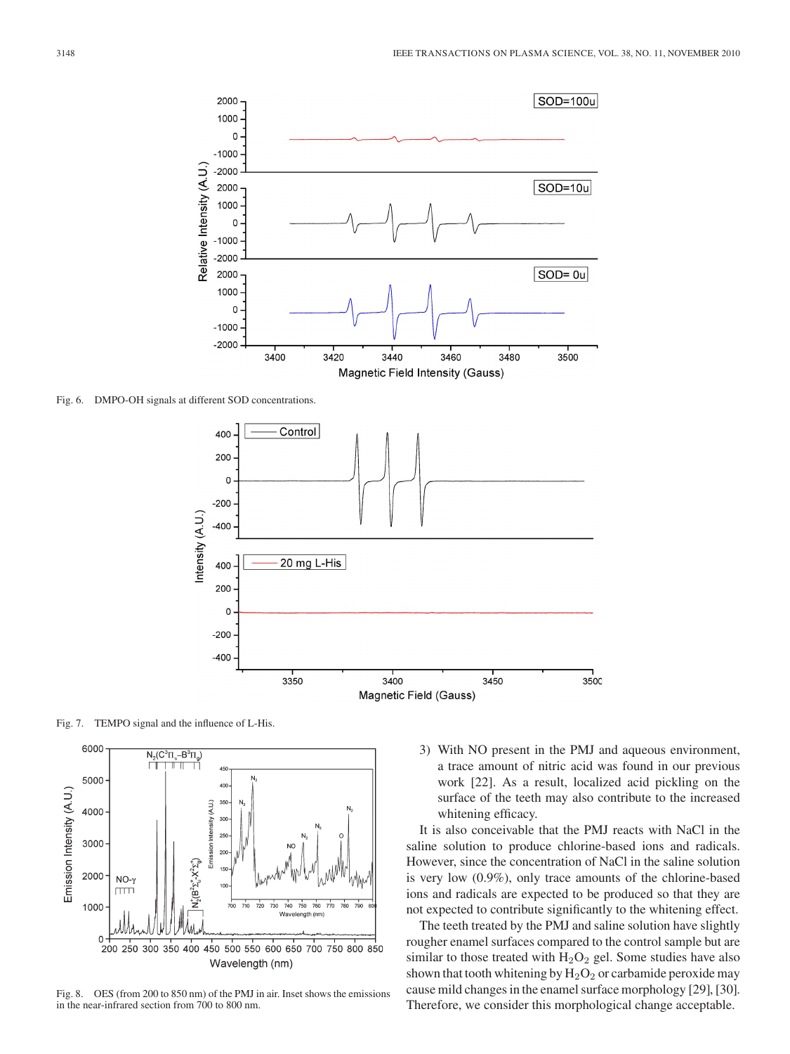

Fig. 6. DMPO-OH signals at different SOD concentrations.



Fig. 7. TEMPO signal and the influence of L-His.



Fig. 8. OES (from 200 to 850 nm) of the PMJ in air. Inset shows the emissions in the near-infrared section from 700 to 800 nm.

3) With NO present in the PMJ and aqueous environment, a trace amount of nitric acid was found in our previous work [22]. As a result, localized acid pickling on the surface of the teeth may also contribute to the increased whitening efficacy.

It is also conceivable that the PMJ reacts with NaCl in the saline solution to produce chlorine-based ions and radicals. However, since the concentration of NaCl in the saline solution is very low (0.9%), only trace amounts of the chlorine-based ions and radicals are expected to be produced so that they are not expected to contribute significantly to the whitening effect.

The teeth treated by the PMJ and saline solution have slightly rougher enamel surfaces compared to the control sample but are similar to those treated with  $H_2O_2$  gel. Some studies have also shown that tooth whitening by  $H_2O_2$  or carbamide peroxide may cause mild changes in the enamel surface morphology [29], [30]. Therefore, we consider this morphological change acceptable.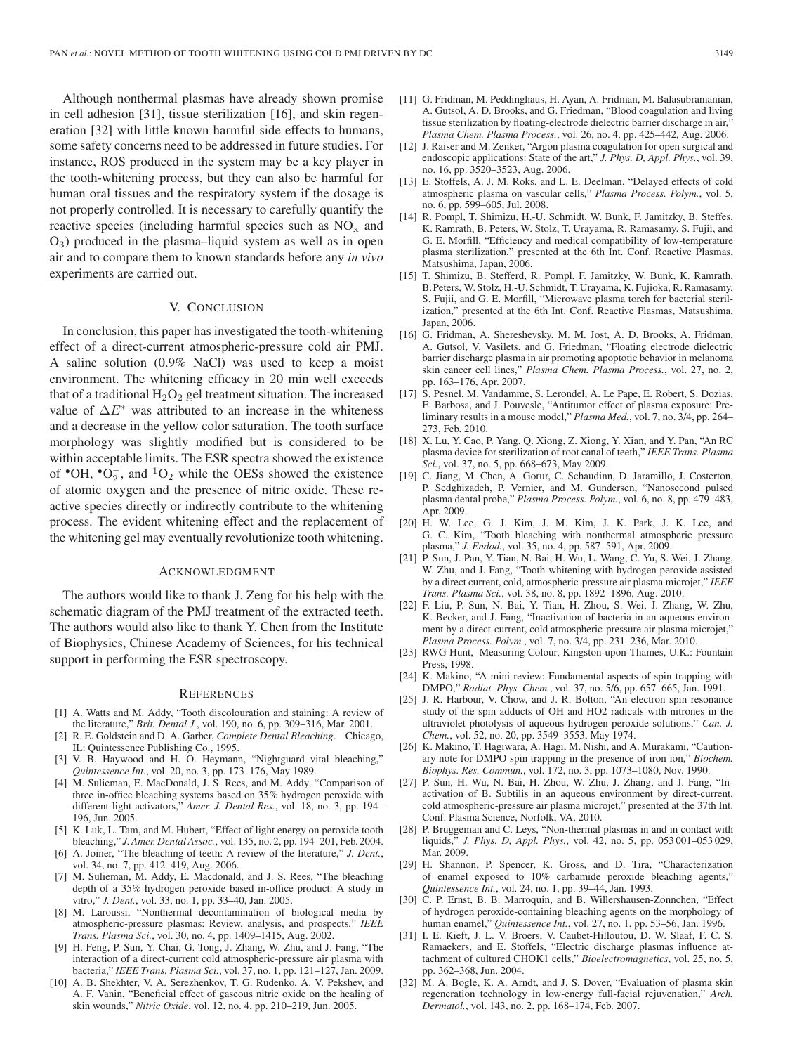Although nonthermal plasmas have already shown promise in cell adhesion [31], tissue sterilization [16], and skin regeneration [32] with little known harmful side effects to humans, some safety concerns need to be addressed in future studies. For instance, ROS produced in the system may be a key player in the tooth-whitening process, but they can also be harmful for human oral tissues and the respiratory system if the dosage is not properly controlled. It is necessary to carefully quantify the reactive species (including harmful species such as  $NO<sub>x</sub>$  and  $O_3$ ) produced in the plasma–liquid system as well as in open air and to compare them to known standards before any *in vivo* experiments are carried out.

## V. CONCLUSION

In conclusion, this paper has investigated the tooth-whitening effect of a direct-current atmospheric-pressure cold air PMJ. A saline solution (0.9% NaCl) was used to keep a moist environment. The whitening efficacy in 20 min well exceeds that of a traditional  $H_2O_2$  gel treatment situation. The increased value of  $\Delta E^*$  was attributed to an increase in the whiteness and a decrease in the yellow color saturation. The tooth surface morphology was slightly modified but is considered to be within acceptable limits. The ESR spectra showed the existence of  $\text{°OH}, \text{°O}_2^-,$  and  $\text{^{1}O}_2$  while the OESs showed the existence of atomic oxygen and the presence of nitric oxide. These reactive species directly or indirectly contribute to the whitening process. The evident whitening effect and the replacement of the whitening gel may eventually revolutionize tooth whitening.

#### ACKNOWLEDGMENT

The authors would like to thank J. Zeng for his help with the schematic diagram of the PMJ treatment of the extracted teeth. The authors would also like to thank Y. Chen from the Institute of Biophysics, Chinese Academy of Sciences, for his technical support in performing the ESR spectroscopy.

#### **REFERENCES**

- [1] A. Watts and M. Addy, "Tooth discolouration and staining: A review of the literature," *Brit. Dental J.*, vol. 190, no. 6, pp. 309–316, Mar. 2001.
- [2] R. E. Goldstein and D. A. Garber, *Complete Dental Bleaching*. Chicago, IL: Quintessence Publishing Co., 1995.
- [3] V. B. Haywood and H. O. Heymann, "Nightguard vital bleaching," *Quintessence Int.*, vol. 20, no. 3, pp. 173–176, May 1989.
- [4] M. Sulieman, E. MacDonald, J. S. Rees, and M. Addy, "Comparison of three in-office bleaching systems based on 35% hydrogen peroxide with different light activators," *Amer. J. Dental Res.*, vol. 18, no. 3, pp. 194– 196, Jun. 2005.
- [5] K. Luk, L. Tam, and M. Hubert, "Effect of light energy on peroxide tooth bleaching," *J. Amer. Dental Assoc.*, vol. 135, no. 2, pp. 194–201, Feb. 2004.
- [6] A. Joiner, "The bleaching of teeth: A review of the literature," *J. Dent.*, vol. 34, no. 7, pp. 412–419, Aug. 2006.
- M. Sulieman, M. Addy, E. Macdonald, and J. S. Rees, "The bleaching depth of a 35% hydrogen peroxide based in-office product: A study in vitro," *J. Dent.*, vol. 33, no. 1, pp. 33–40, Jan. 2005.
- [8] M. Laroussi, "Nonthermal decontamination of biological media by atmospheric-pressure plasmas: Review, analysis, and prospects," *IEEE Trans. Plasma Sci.*, vol. 30, no. 4, pp. 1409–1415, Aug. 2002.
- H. Feng, P. Sun, Y. Chai, G. Tong, J. Zhang, W. Zhu, and J. Fang, "The interaction of a direct-current cold atmospheric-pressure air plasma with bacteria," *IEEE Trans. Plasma Sci.*, vol. 37, no. 1, pp. 121–127, Jan. 2009.
- [10] A. B. Shekhter, V. A. Serezhenkov, T. G. Rudenko, A. V. Pekshev, and A. F. Vanin, "Beneficial effect of gaseous nitric oxide on the healing of skin wounds," *Nitric Oxide*, vol. 12, no. 4, pp. 210–219, Jun. 2005.
- [11] G. Fridman, M. Peddinghaus, H. Ayan, A. Fridman, M. Balasubramanian, A. Gutsol, A. D. Brooks, and G. Friedman, "Blood coagulation and living tissue sterilization by floating-electrode dielectric barrier discharge in air, *Plasma Chem. Plasma Process.*, vol. 26, no. 4, pp. 425–442, Aug. 2006.
- [12] J. Raiser and M. Zenker, "Argon plasma coagulation for open surgical and endoscopic applications: State of the art," *J. Phys. D, Appl. Phys.*, vol. 39, no. 16, pp. 3520–3523, Aug. 2006.
- [13] E. Stoffels, A. J. M. Roks, and L. E. Deelman, "Delayed effects of cold atmospheric plasma on vascular cells," *Plasma Process. Polym.*, vol. 5, no. 6, pp. 599–605, Jul. 2008.
- [14] R. Pompl, T. Shimizu, H.-U. Schmidt, W. Bunk, F. Jamitzky, B. Steffes, K. Ramrath, B. Peters, W. Stolz, T. Urayama, R. Ramasamy, S. Fujii, and G. E. Morfill, "Efficiency and medical compatibility of low-temperature plasma sterilization," presented at the 6th Int. Conf. Reactive Plasmas, Matsushima, Japan, 2006.
- [15] T. Shimizu, B. Stefferd, R. Pompl, F. Jamitzky, W. Bunk, K. Ramrath, B.Peters, W. Stolz, H.-U. Schmidt, T. Urayama, K. Fujioka, R. Ramasamy, S. Fujii, and G. E. Morfill, "Microwave plasma torch for bacterial sterilization," presented at the 6th Int. Conf. Reactive Plasmas, Matsushima, Japan, 2006.
- [16] G. Fridman, A. Shereshevsky, M. M. Jost, A. D. Brooks, A. Fridman, A. Gutsol, V. Vasilets, and G. Friedman, "Floating electrode dielectric barrier discharge plasma in air promoting apoptotic behavior in melanoma skin cancer cell lines," *Plasma Chem. Plasma Process.*, vol. 27, no. 2, pp. 163–176, Apr. 2007.
- [17] S. Pesnel, M. Vandamme, S. Lerondel, A. Le Pape, E. Robert, S. Dozias, E. Barbosa, and J. Pouvesle, "Antitumor effect of plasma exposure: Preliminary results in a mouse model," *Plasma Med.*, vol. 7, no. 3/4, pp. 264– 273, Feb. 2010.
- [18] X. Lu, Y. Cao, P. Yang, Q. Xiong, Z. Xiong, Y. Xian, and Y. Pan, "An RC plasma device for sterilization of root canal of teeth," *IEEE Trans. Plasma Sci.*, vol. 37, no. 5, pp. 668–673, May 2009.
- [19] C. Jiang, M. Chen, A. Gorur, C. Schaudinn, D. Jaramillo, J. Costerton, P. Sedghizadeh, P. Vernier, and M. Gundersen, "Nanosecond pulsed plasma dental probe," *Plasma Process. Polym.*, vol. 6, no. 8, pp. 479–483, Apr. 2009.
- [20] H. W. Lee, G. J. Kim, J. M. Kim, J. K. Park, J. K. Lee, and G. C. Kim, "Tooth bleaching with nonthermal atmospheric pressure plasma," *J. Endod.*, vol. 35, no. 4, pp. 587–591, Apr. 2009.
- [21] P. Sun, J. Pan, Y. Tian, N. Bai, H. Wu, L. Wang, C. Yu, S. Wei, J. Zhang, W. Zhu, and J. Fang, "Tooth-whitening with hydrogen peroxide assisted by a direct current, cold, atmospheric-pressure air plasma microjet," *IEEE Trans. Plasma Sci.*, vol. 38, no. 8, pp. 1892–1896, Aug. 2010.
- [22] F. Liu, P. Sun, N. Bai, Y. Tian, H. Zhou, S. Wei, J. Zhang, W. Zhu, K. Becker, and J. Fang, "Inactivation of bacteria in an aqueous environment by a direct-current, cold atmospheric-pressure air plasma microjet," *Plasma Process. Polym.*, vol. 7, no. 3/4, pp. 231–236, Mar. 2010.
- [23] RWG Hunt, Measuring Colour, Kingston-upon-Thames, U.K.: Fountain Press, 1998.
- [24] K. Makino, "A mini review: Fundamental aspects of spin trapping with DMPO," *Radiat. Phys. Chem.*, vol. 37, no. 5/6, pp. 657–665, Jan. 1991.
- [25] J. R. Harbour, V. Chow, and J. R. Bolton, "An electron spin resonance study of the spin adducts of OH and HO2 radicals with nitrones in the ultraviolet photolysis of aqueous hydrogen peroxide solutions," *Can. J. Chem.*, vol. 52, no. 20, pp. 3549–3553, May 1974.
- [26] K. Makino, T. Hagiwara, A. Hagi, M. Nishi, and A. Murakami, "Cautionary note for DMPO spin trapping in the presence of iron ion," *Biochem. Biophys. Res. Commun.*, vol. 172, no. 3, pp. 1073–1080, Nov. 1990.
- [27] P. Sun, H. Wu, N. Bai, H. Zhou, W. Zhu, J. Zhang, and J. Fang, "Inactivation of B. Subtilis in an aqueous environment by direct-current, cold atmospheric-pressure air plasma microjet," presented at the 37th Int. Conf. Plasma Science, Norfolk, VA, 2010.
- [28] P. Bruggeman and C. Leys, "Non-thermal plasmas in and in contact with liquids," *J. Phys. D, Appl. Phys.*, vol. 42, no. 5, pp. 053 001–053 029, Mar. 2009.
- [29] H. Shannon, P. Spencer, K. Gross, and D. Tira, "Characterization of enamel exposed to 10% carbamide peroxide bleaching agents,' *Quintessence Int.*, vol. 24, no. 1, pp. 39–44, Jan. 1993.
- [30] C. P. Ernst, B. B. Marroquin, and B. Willershausen-Zonnchen, "Effect of hydrogen peroxide-containing bleaching agents on the morphology of human enamel," *Quintessence Int.*, vol. 27, no. 1, pp. 53–56, Jan. 1996.
- [31] I. E. Kieft, J. L. V. Broers, V. Caubet-Hilloutou, D. W. Slaaf, F. C. S. Ramaekers, and E. Stoffels, "Electric discharge plasmas influence attachment of cultured CHOK1 cells," *Bioelectromagnetics*, vol. 25, no. 5, pp. 362–368, Jun. 2004.
- [32] M. A. Bogle, K. A. Arndt, and J. S. Dover, "Evaluation of plasma skin regeneration technology in low-energy full-facial rejuvenation," *Arch. Dermatol.*, vol. 143, no. 2, pp. 168–174, Feb. 2007.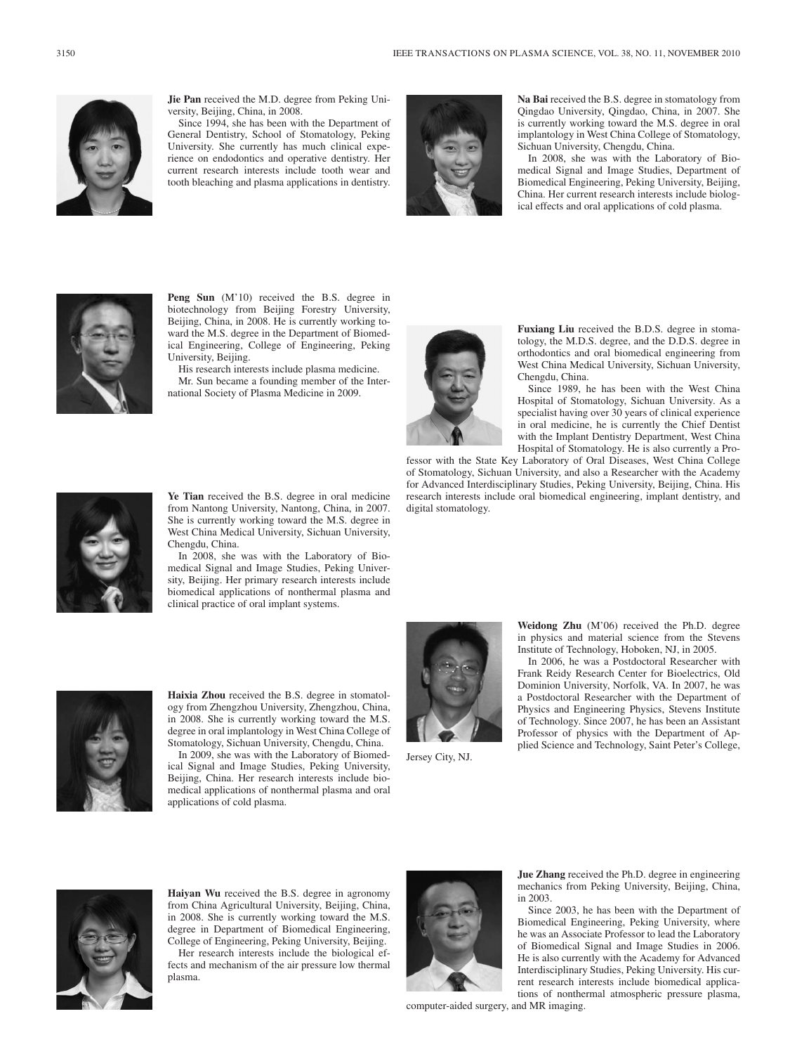

**Jie Pan** received the M.D. degree from Peking University, Beijing, China, in 2008.

Since 1994, she has been with the Department of General Dentistry, School of Stomatology, Peking University. She currently has much clinical experience on endodontics and operative dentistry. Her current research interests include tooth wear and tooth bleaching and plasma applications in dentistry.



**Na Bai** received the B.S. degree in stomatology from Qingdao University, Qingdao, China, in 2007. She is currently working toward the M.S. degree in oral implantology in West China College of Stomatology, Sichuan University, Chengdu, China.

In 2008, she was with the Laboratory of Biomedical Signal and Image Studies, Department of Biomedical Engineering, Peking University, Beijing, China. Her current research interests include biological effects and oral applications of cold plasma.



Peng Sun (M'10) received the B.S. degree in biotechnology from Beijing Forestry University, Beijing, China, in 2008. He is currently working toward the M.S. degree in the Department of Biomedical Engineering, College of Engineering, Peking University, Beijing.

His research interests include plasma medicine. Mr. Sun became a founding member of the International Society of Plasma Medicine in 2009.



**Fuxiang Liu** received the B.D.S. degree in stomatology, the M.D.S. degree, and the D.D.S. degree in orthodontics and oral biomedical engineering from West China Medical University, Sichuan University, Chengdu, China.

Since 1989, he has been with the West China Hospital of Stomatology, Sichuan University. As a specialist having over 30 years of clinical experience in oral medicine, he is currently the Chief Dentist with the Implant Dentistry Department, West China Hospital of Stomatology. He is also currently a Pro-

fessor with the State Key Laboratory of Oral Diseases, West China College of Stomatology, Sichuan University, and also a Researcher with the Academy for Advanced Interdisciplinary Studies, Peking University, Beijing, China. His research interests include oral biomedical engineering, implant dentistry, and digital stomatology.



**Ye Tian** received the B.S. degree in oral medicine from Nantong University, Nantong, China, in 2007. She is currently working toward the M.S. degree in West China Medical University, Sichuan University, Chengdu, China.

In 2008, she was with the Laboratory of Biomedical Signal and Image Studies, Peking University, Beijing. Her primary research interests include biomedical applications of nonthermal plasma and clinical practice of oral implant systems.



Jersey City, NJ.

**Weidong Zhu** (M'06) received the Ph.D. degree in physics and material science from the Stevens Institute of Technology, Hoboken, NJ, in 2005.

In 2006, he was a Postdoctoral Researcher with Frank Reidy Research Center for Bioelectrics, Old Dominion University, Norfolk, VA. In 2007, he was a Postdoctoral Researcher with the Department of Physics and Engineering Physics, Stevens Institute of Technology. Since 2007, he has been an Assistant Professor of physics with the Department of Applied Science and Technology, Saint Peter's College,



**Haixia Zhou** received the B.S. degree in stomatology from Zhengzhou University, Zhengzhou, China, in 2008. She is currently working toward the M.S. degree in oral implantology in West China College of Stomatology, Sichuan University, Chengdu, China.

In 2009, she was with the Laboratory of Biomedical Signal and Image Studies, Peking University, Beijing, China. Her research interests include biomedical applications of nonthermal plasma and oral applications of cold plasma.





**Haiyan Wu** received the B.S. degree in agronomy from China Agricultural University, Beijing, China, in 2008. She is currently working toward the M.S. degree in Department of Biomedical Engineering, College of Engineering, Peking University, Beijing.

Her research interests include the biological effects and mechanism of the air pressure low thermal plasma.



**Jue Zhang** received the Ph.D. degree in engineering mechanics from Peking University, Beijing, China, in 2003.

Since 2003, he has been with the Department of Biomedical Engineering, Peking University, where he was an Associate Professor to lead the Laboratory of Biomedical Signal and Image Studies in 2006. He is also currently with the Academy for Advanced Interdisciplinary Studies, Peking University. His current research interests include biomedical applications of nonthermal atmospheric pressure plasma,

computer-aided surgery, and MR imaging.